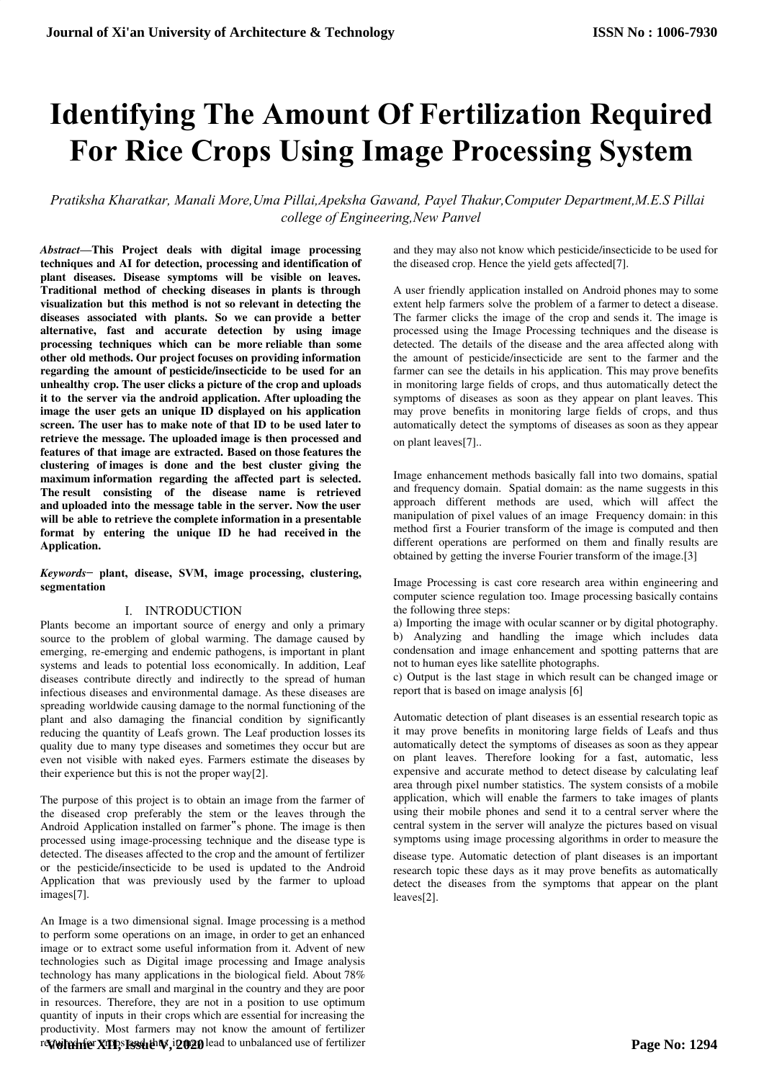# **Identifying The Amount Of Fertilization Required For Rice Crops Using Image Processing System**

*Pratiksha Kharatkar, Manali More,Uma Pillai,Apeksha Gawand, Payel Thakur,Computer Department,M.E.S Pillai college of Engineering,New Panvel*

*Abstract***—This Project deals with digital image processing techniques and AI for detection, processing and identification of plant diseases. Disease symptoms will be visible on leaves. Traditional method of checking diseases in plants is through visualization but this method is not so relevant in detecting the diseases associated with plants. So we can provide a better alternative, fast and accurate detection by using image processing techniques which can be more reliable than some other old methods. Our project focuses on providing information regarding the amount of pesticide/insecticide to be used for an unhealthy crop. The user clicks a picture of the crop and uploads it to the server via the android application. After uploading the image the user gets an unique ID displayed on his application screen. The user has to make note of that ID to be used later to retrieve the message. The uploaded image is then processed and features of that image are extracted. Based on those features the clustering of images is done and the best cluster giving the maximum information regarding the affected part is selected. The result consisting of the disease name is retrieved and uploaded into the message table in the server. Now the user will be able to retrieve the complete information in a presentable format by entering the unique ID he had received in the Application.**

## *Keywords*— **plant, disease, SVM, image processing, clustering, segmentation**

#### I. INTRODUCTION

Plants become an important source of energy and only a primary source to the problem of global warming. The damage caused by emerging, re-emerging and endemic pathogens, is important in plant systems and leads to potential loss economically. In addition, Leaf diseases contribute directly and indirectly to the spread of human infectious diseases and environmental damage. As these diseases are spreading worldwide causing damage to the normal functioning of the plant and also damaging the financial condition by significantly reducing the quantity of Leafs grown. The Leaf production losses its quality due to many type diseases and sometimes they occur but are even not visible with naked eyes. Farmers estimate the diseases by their experience but this is not the proper way[2].

The purpose of this project is to obtain an image from the farmer of the diseased crop preferably the stem or the leaves through the Android Application installed on farmer"s phone. The image is then processed using image-processing technique and the disease type is detected. The diseases affected to the crop and the amount of fertilizer or the pesticide/insecticide to be used is updated to the Android Application that was previously used by the farmer to upload images[7].

An Image is a two dimensional signal. Image processing is a method to perform some operations on an image, in order to get an enhanced image or to extract some useful information from it. Advent of new technologies such as Digital image processing and Image analysis technology has many applications in the biological field. About 78% of the farmers are small and marginal in the country and they are poor in resources. Therefore, they are not in a position to use optimum quantity of inputs in their crops which are essential for increasing the productivity. Most farmers may not know the amount of fertilizer r**Mvirchfe<sup>r</sup>XIII,sI33d1thW,i2020** lead to unbalanced use of fertilizer and they may also not know which pesticide/insecticide to be used for the diseased crop. Hence the yield gets affected[7].

A user friendly application installed on Android phones may to some extent help farmers solve the problem of a farmer to detect a disease. The farmer clicks the image of the crop and sends it. The image is processed using the Image Processing techniques and the disease is detected. The details of the disease and the area affected along with the amount of pesticide/insecticide are sent to the farmer and the farmer can see the details in his application. This may prove benefits in monitoring large fields of crops, and thus automatically detect the symptoms of diseases as soon as they appear on plant leaves. This may prove benefits in monitoring large fields of crops, and thus automatically detect the symptoms of diseases as soon as they appear on plant leaves[7]..

Image enhancement methods basically fall into two domains, spatial and frequency domain. Spatial domain: as the name suggests in this approach different methods are used, which will affect the manipulation of pixel values of an image Frequency domain: in this method first a Fourier transform of the image is computed and then different operations are performed on them and finally results are obtained by getting the inverse Fourier transform of the image.[3]

Image Processing is cast core research area within engineering and computer science regulation too. Image processing basically contains the following three steps:

a) Importing the image with ocular scanner or by digital photography. b) Analyzing and handling the image which includes data condensation and image enhancement and spotting patterns that are not to human eyes like satellite photographs.

c) Output is the last stage in which result can be changed image or report that is based on image analysis [6]

Automatic detection of plant diseases is an essential research topic as it may prove benefits in monitoring large fields of Leafs and thus automatically detect the symptoms of diseases as soon as they appear on plant leaves. Therefore looking for a fast, automatic, less expensive and accurate method to detect disease by calculating leaf area through pixel number statistics. The system consists of a mobile application, which will enable the farmers to take images of plants using their mobile phones and send it to a central server where the central system in the server will analyze the pictures based on visual symptoms using image processing algorithms in order to measure the

disease type. Automatic detection of plant diseases is an important research topic these days as it may prove benefits as automatically detect the diseases from the symptoms that appear on the plant leaves[2].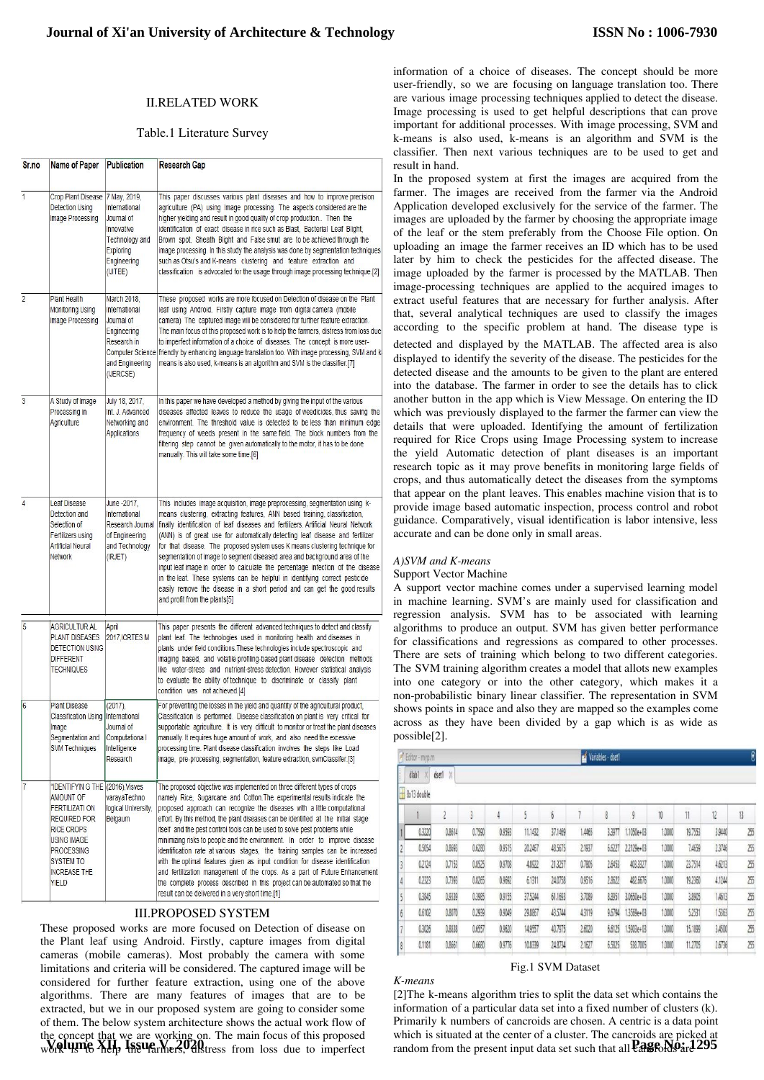#### II.RELATED WORK

## Table.1 Literature Survey

| Sr.no          | <b>Name of Paper</b>                                                                                                                                                                                       | Publication                                                                                                                         | <b>Research Gap</b>                                                                                                                                                                                                                                                                                                                                                                                                                                                                                                                                                                                                                                                                                                                                                                                                                                                  |  |  |  |  |
|----------------|------------------------------------------------------------------------------------------------------------------------------------------------------------------------------------------------------------|-------------------------------------------------------------------------------------------------------------------------------------|----------------------------------------------------------------------------------------------------------------------------------------------------------------------------------------------------------------------------------------------------------------------------------------------------------------------------------------------------------------------------------------------------------------------------------------------------------------------------------------------------------------------------------------------------------------------------------------------------------------------------------------------------------------------------------------------------------------------------------------------------------------------------------------------------------------------------------------------------------------------|--|--|--|--|
| 1              | Crop Plant Disease   7 May, 2019,<br>Detection Using<br>Image Processing                                                                                                                                   | International<br>Journal of<br>Innovative<br><b>Technology and</b><br>Exploring<br>Engineering<br>(IJITEE)                          | This paper discusses various plant diseases and how to improve precision<br>agriculture (PA) using Image processing. The aspects considered are the<br>higher yielding and result in good quality of crop production Then the<br>identification of exact disease in rice such as Blast, Bacterial Leaf Blight,<br>Brown spot, Sheath Blight and False smut are to be achieved through the<br>image processing. In this study the analysis was done by segmentation techniques<br>such as Otsu's and K-means clustering and feature extraction and<br>classification is advocated for the usage through image processing technique.[2]                                                                                                                                                                                                                                |  |  |  |  |
| $\overline{c}$ | <b>Plant Health</b><br>Monitoring Using<br>Image Processing                                                                                                                                                | March 2018.<br>International<br>Journal of<br>Engineering<br>Research in<br><b>Computer Science</b><br>and Engineering<br>(IJERCSE) | These proposed works are more focused on Detection of disease on the Plant<br>leaf using Android. Firstly capture image from digital camera (mobile<br>camera) The captured image will be considered for further feature extraction.<br>The main focus of this proposed work is to help the farmers, distress from loss due<br>to imperfect information of a choice of diseases. The concept is more user-<br>friendly by enhancing language translation too. With image processing, SVM and k-<br>means is also used, k-means is an algorithm and SVM is the classifier.[7]                                                                                                                                                                                                                                                                                         |  |  |  |  |
| 3              | A Study of Image<br>Processing in<br>Agriculture                                                                                                                                                           | July 18, 2017,<br>Int. J. Advanced<br>Networking and<br><b>Applications</b>                                                         | In this paper we have developed a method by giving the input of the various<br>diseases affected leaves to reduce the usage of weedicides, thus saving the<br>environment. The threshold value is detected to be less than minimum edge<br>frequency of weeds present in the same field. The block numbers from the<br>filtering step cannot be given automatically to the motor, it has to be done<br>manually. This will take some time.[6]                                                                                                                                                                                                                                                                                                                                                                                                                        |  |  |  |  |
| 4              | Leaf Disease<br>Detection and<br>Selection of<br>Fertilizers using<br><b>Artificial Neural</b><br><b>Network</b>                                                                                           | June -2017,<br>International<br>Research Journal<br>of Engineering<br>and Technology<br>(IRJET)                                     | This includes image acquisition, image preprocessing, segmentation using k-<br>means clustering, extracting features, ANN based training, classification,<br>finally identification of leaf diseases and fertilizers. Artificial Neural Network<br>(ANN) is of great use for automatically detecting leaf disease and fertilizer<br>for that disease. The proposed system uses K means clustering technique for<br>segmentation of image to segment diseased area and background area of the<br>input leaf image in order to calculate the percentage infection of the disease<br>in the leaf. These systems can be helpful in identifying correct pesticide<br>easily remove the disease in a short period and can get the good results<br>and profit from the plants[5]                                                                                            |  |  |  |  |
| 5              | <b>AGRICULTUR AL</b><br><b>PLANT DISEASES</b><br><b>DETECTION USING</b><br><b>DIFFERENT</b><br><b>TECHNIQUES</b>                                                                                           | April<br>2017, ICRTES M                                                                                                             | This paper presents the different advanced techniques to detect and classify<br>plant leaf. The technologies used in monitoring health and diseases in<br>plants under field conditions. These technologies include spectroscopic and<br>imaging based, and volatile profiling-based plant disease detection methods<br>like water-stress and nutrient-stress detection. However statistical analysis<br>to evaluate the ability of technique to discriminate or classify plant<br>condition was not achieved.[4]                                                                                                                                                                                                                                                                                                                                                    |  |  |  |  |
| 6              | <b>Plant Disease</b><br><b>Classification Using</b><br>Image<br>Segmentation and<br><b>SVM Techniques</b>                                                                                                  | $(2017)$ ,<br>International<br>Journal of<br>Computationa I<br>Intelligence<br>Research                                             | For preventing the losses in the yield and quantity of the agricultural product,<br>Classification is performed. Disease classification on plant is very critical for<br>supportable agriculture. It is very difficult to monitor or treat the plant diseases<br>manually. It requires huge amount of work, and also need the excessive<br>processing time. Plant disease classification involves the steps like Load<br>image, pre-processing, segmentation, feature extraction, svmClassifer.[3]                                                                                                                                                                                                                                                                                                                                                                   |  |  |  |  |
| $\overline{7}$ | "IDENTIFYIN G THE (2016), Visves<br>AMOUNT OF<br><b>FERTILIZATI ON</b><br><b>REQUIRED FOR</b><br>RICE CROPS<br>USING IMAGE<br><b>PROCESSING</b><br><b>SYSTEM TO</b><br><b>INCREASE THE</b><br><b>YIELD</b> | varayaTechno<br>logical University,<br>Belgaum                                                                                      | The proposed objective was implemented on three different types of crops<br>namely Rice, Sugarcane and Cotton. The experimental results indicate the<br>proposed approach can recognize the diseases with a little computational<br>effort. By this method, the plant diseases can be identified at the initial stage<br>itself and the pest control tools can be used to solve pest problems while<br>minimizing risks to people and the environment. In order to improve disease<br>identification rate at various stages, the training samples can be increased<br>with the optimal features given as input condition for disease identification<br>and fertilization management of the crops. As a part of Future Enhancement<br>the complete process described in this project can be automated so that the<br>result can be delivered in a very short time [1] |  |  |  |  |

#### III.PROPOSED SYSTEM

These proposed works are more focused on Detection of disease on the Plant leaf using Android. Firstly, capture images from digital cameras (mobile cameras). Most probably the camera with some limitations and criteria will be considered. The captured image will be considered for further feature extraction, using one of the above algorithms. There are many features of images that are to be extracted, but we in our proposed system are going to consider some of them. The below system architecture shows the actual work flow of the concept that we are working on. The main focus of this proposed Work using XII, Issue V, 2020. The main rocas or and proposed

information of a choice of diseases. The concept should be more user-friendly, so we are focusing on language translation too. There are various image processing techniques applied to detect the disease. Image processing is used to get helpful descriptions that can prove important for additional processes. With image processing, SVM and k-means is also used, k-means is an algorithm and SVM is the classifier. Then next various techniques are to be used to get and result in hand.

In the proposed system at first the images are acquired from the farmer. The images are received from the farmer via the Android Application developed exclusively for the service of the farmer. The images are uploaded by the farmer by choosing the appropriate image of the leaf or the stem preferably from the Choose File option. On uploading an image the farmer receives an ID which has to be used later by him to check the pesticides for the affected disease. The image uploaded by the farmer is processed by the MATLAB. Then image-processing techniques are applied to the acquired images to extract useful features that are necessary for further analysis. After that, several analytical techniques are used to classify the images according to the specific problem at hand. The disease type is detected and displayed by the MATLAB. The affected area is also displayed to identify the severity of the disease. The pesticides for the detected disease and the amounts to be given to the plant are entered into the database. The farmer in order to see the details has to click another button in the app which is View Message. On entering the ID which was previously displayed to the farmer the farmer can view the details that were uploaded. Identifying the amount of fertilization required for Rice Crops using Image Processing system to increase the yield Automatic detection of plant diseases is an important research topic as it may prove benefits in monitoring large fields of crops, and thus automatically detect the diseases from the symptoms that appear on the plant leaves. This enables machine vision that is to provide image based automatic inspection, process control and robot guidance. Comparatively, visual identification is labor intensive, less accurate and can be done only in small areas.

#### *A)SVM and K-means*

*K-means*

#### Support Vector Machine

A support vector machine comes under a supervised learning model in machine learning. SVM's are mainly used for classification and regression analysis. SVM has to be associated with learning algorithms to produce an output. SVM has given better performance for classifications and regressions as compared to other processes. There are sets of training which belong to two different categories. The SVM training algorithm creates a model that allots new examples into one category or into the other category, which makes it a non-probabilistic binary linear classifier. The representation in SVM shows points in space and also they are mapped so the examples come across as they have been divided by a gap which is as wide as possible[2].

| Editor - myp.m          |            |                 |        |        |         |         | $\Theta$<br>Variables - dset1 |        |            |        |         |        |     |
|-------------------------|------------|-----------------|--------|--------|---------|---------|-------------------------------|--------|------------|--------|---------|--------|-----|
|                         | X<br>dlab1 | $\chi$<br>dset1 |        |        |         |         |                               |        |            |        |         |        |     |
| <b>Bx13</b> double<br>н |            |                 |        |        |         |         |                               |        |            |        |         |        |     |
|                         |            |                 | 3      | 4      | 5       | 6       |                               | 8      | 9          | 10     | 11      | 12     | 13  |
|                         | 0.3220     | 0.8614          | 0.7590 | 0.9593 | 11.1432 | 37,1469 | 1,4465                        | 3.3977 | 1.1050e+03 | 1.0000 | 19.7553 | 3.9440 | 255 |
| $\overline{\mathbf{r}}$ | 0.5054     | 0.8693          | 0.6280 | 0.9515 | 20,2467 | 48.5675 | 2.1937                        | 6,6227 | 2.2129e+03 | 1,0000 | 7,4659  | 2.3746 | 255 |
| $\overline{3}$          | 0.2124     | 0.7153          | 0.8525 | 0.9708 | 4.8922  | 21.3257 | 0.7805                        | 2.6453 | 403.3327   | 1.0000 | 23.7514 | 4,6213 | 255 |
| $\overline{4}$          | 0.2323     | 0.7393          | 0.8265 | 0.9692 | 6.1311  | 24.0758 | 0.9516                        | 2.8622 | 482.6676   | 1,0000 | 19,2360 | 4.1244 | 255 |
| $\overline{5}$          | 0.3845     | 0.9339          | 0.3985 | 0.9155 | 37.5244 | 61.1693 | 3,7089                        | 8.895  | 3.0650e+03 | 1.0000 | 3,8905  | 1,4613 | 255 |
| $\delta$                | 0.6102     | 0.8070          | 0.2939 | 0.9049 | 29.8867 | 43,5744 | 4,3119                        | 9.6794 | 1.3569e+03 | 1.0000 | 5,2531  | 1,5363 | 255 |
| $\overline{1}$          | 0.3026     | 0.8838          | 0.6557 | 0.9620 | 14.9557 | 40.7975 | 2,6020                        | 6.6125 | 1.5903e+03 | 1.0000 | 15,1899 | 3,4500 | 255 |
| $\sqrt{3}$              | 0.1181     | 0.8661          | 0.6680 | 0.9776 | 10.8339 | 24,8734 | 2.1627                        | 6.5825 | 538.7005   | 1,0000 | 11,2705 | 2.6736 | 255 |

#### Fig.1 SVM Dataset

[2]The k-means algorithm tries to split the data set which contains the information of a particular data set into a fixed number of clusters (k). Primarily k numbers of cancroids are chosen. A centric is a data point which is situated at the center of a cluster. The cancroids are picked at random from the present input data set such that all **Cangoologic 295**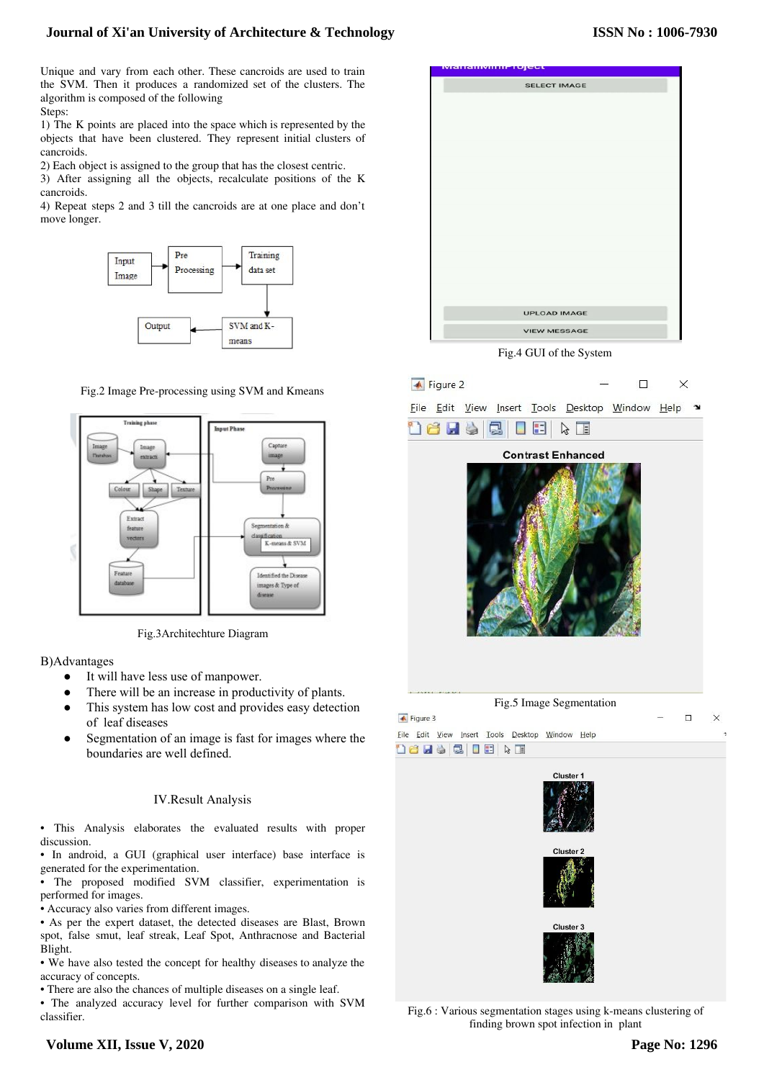# **Journal of Xi'an University of Architecture & Technology**

Unique and vary from each other. These cancroids are used to train the SVM. Then it produces a randomized set of the clusters. The algorithm is composed of the following Steps:

1) The K points are placed into the space which is represented by the objects that have been clustered. They represent initial clusters of cancroids.

2) Each object is assigned to the group that has the closest centric.

3) After assigning all the objects, recalculate positions of the K cancroids.

4) Repeat steps 2 and 3 till the cancroids are at one place and don't move longer.



Fig.2 Image Pre-processing using SVM and Kmeans



Fig.3Architechture Diagram

B)Advantages

- It will have less use of manpower.
- There will be an increase in productivity of plants.
- This system has low cost and provides easy detection of leaf diseases
- Segmentation of an image is fast for images where the boundaries are well defined.

## IV.Result Analysis

• This Analysis elaborates the evaluated results with proper discussion.

• In android, a GUI (graphical user interface) base interface is generated for the experimentation.

• The proposed modified SVM classifier, experimentation is performed for images.

- Accuracy also varies from different images.
- As per the expert dataset, the detected diseases are Blast, Brown spot, false smut, leaf streak, Leaf Spot, Anthracnose and Bacterial Blight.

• We have also tested the concept for healthy diseases to analyze the accuracy of concepts.

• There are also the chances of multiple diseases on a single leaf.

• The analyzed accuracy level for further comparison with SVM classifier.



Fig.4 GUI of the System



Fig.6 : Various segmentation stages using k-means clustering of finding brown spot infection in plant

# **Volume XII, Issue V, 2020**